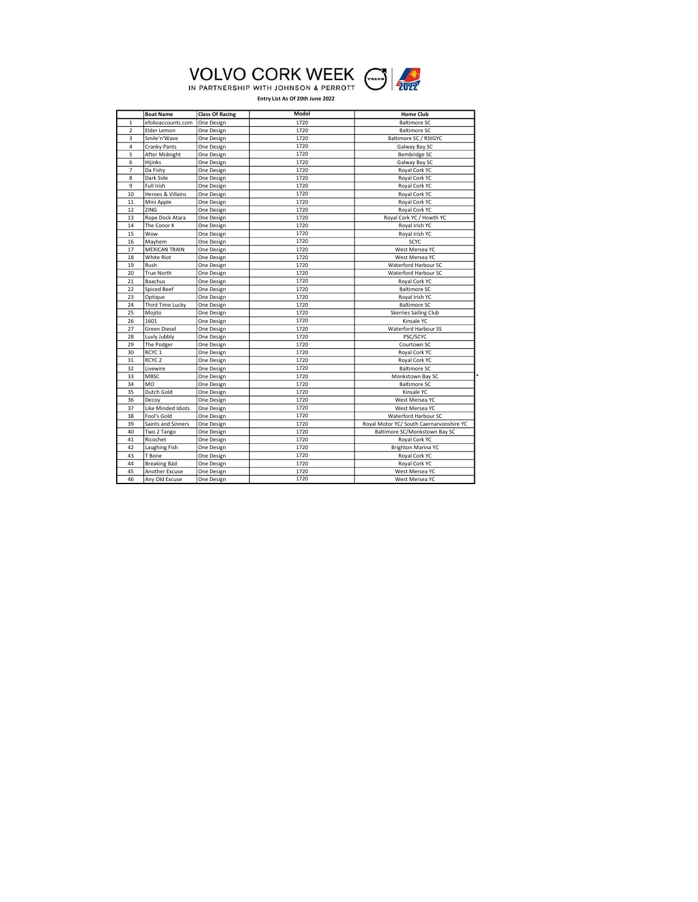

| Model<br><b>Boat Name</b><br><b>Class Of Racing</b><br><b>Home Club</b><br><b>Baltimore SC</b><br>$\mathbf{1}$<br>efolioaccounts.com<br>One Design<br>1720<br>1720<br>$\overline{2}$<br>Elder Lemon<br><b>Baltimore SC</b><br>One Design<br>3<br>Smile'n'Wave<br>Baltimore SC / RStGYC<br>1720<br>One Design<br>4<br>1720<br>Galway Bay SC<br>Cranky Pants<br>One Design<br>5<br>After Midnight<br>1720<br>Bembridge SC<br>One Design<br>6<br>1720<br>Galway Bay SC<br>Hijinks<br>One Design<br>1720<br>$\overline{7}$<br>Da Fishy<br>One Design<br>Royal Cork YC<br>8<br>Dark Side<br>1720<br>One Design<br>Royal Cork YC<br>9<br>1720<br>Full Irish<br>Royal Cork YC<br>One Design<br>Heroes & Villains<br>10<br>1720<br>Royal Cork YC<br>One Design<br>1720<br>11<br>Mini Apple<br>Royal Cork YC<br>One Design<br>12<br>ZING<br>1720<br>Royal Cork YC<br>One Design<br>13<br>1720<br>Royal Cork YC / Howth YC<br>Rope Dock Atara<br>One Design<br>14<br>The Conor K<br>1720<br>Royal Irish YC<br>One Design<br>15<br>Wow<br>1720<br>Royal Irish YC<br>One Design<br>1720<br>16<br>SCYC<br>Mayhem<br>One Design<br>17<br><b>MEXICAN TRAIN</b><br>1720<br>West Mersea YC<br>One Design<br>1720<br>18<br>White Riot<br>West Mersea YC<br>One Design<br>19<br>1720<br>Waterford Harbour SC<br>Rush<br>One Design<br>20<br>1720<br><b>True North</b><br>Waterford Harbour SC<br>One Design<br>21<br>Baachus<br>1720<br>Royal Cork YC<br>One Design<br>22<br><b>Spiced Beef</b><br>1720<br><b>Baltimore SC</b><br>One Design<br>23<br>1720<br>Optique<br>Royal Irish YC<br>One Design<br>24<br>Third Time Lucky<br>1720<br><b>Baltimore SC</b><br>One Design<br>1720<br>25<br>Mojito<br>One Design<br><b>Skerries Sailing Club</b><br>26<br>1601<br>1720<br>Kinsale YC<br>One Design<br>1720<br>27<br>Green Diesel<br><b>Waterford Harbour SS</b><br>One Design<br>28<br>Luvly Jubbly<br>1720<br>PSC/SCYC<br>One Design<br>29<br>The Podger<br>1720<br>Courtown SC<br>One Design<br>30<br>RCYC <sub>1</sub><br>1720<br>Royal Cork YC<br>One Design<br>31<br>RCYC <sub>2</sub><br>1720<br>One Design<br>Royal Cork YC<br>1720<br>32<br>Livewire<br><b>Baltimore SC</b><br>One Design<br>33<br><b>MBSC</b><br>1720<br>Monkstown Bay SC<br>One Design<br>1720<br>34<br>M <sub>O</sub><br><b>Baltimore SC</b><br>One Design<br>35<br>Dutch Gold<br>1720<br>Kinsale YC<br>One Design<br>36<br>1720<br>Decov<br>West Mersea YC<br>One Design<br>37<br>Like Minded Idiots<br>1720<br>West Mersea YC<br>One Design<br>38<br>1720<br>Waterford Harbour SC<br>Fool's Gold<br>One Design<br>39<br>Saints and Sinners<br>1720<br>Royal Motor YC/ South Caernarvonshire YC<br>One Design<br>40<br>1720<br>Baltimore SC/Monkstown Bay SC<br>Two 2 Tango<br>One Design<br>41<br>1720<br>Ricochet<br>Royal Cork YC<br>One Design<br>42<br>1720<br>Laughing Fish<br>Brighton Marina YC<br>One Design<br>43<br>1720<br>T Bone<br>Royal Cork YC<br>One Design<br>44<br>Breaking Bád<br>1720<br>Royal Cork YC<br>One Design<br>45<br>1720<br>Another Excuse<br>West Mersea YC<br>One Design<br>1720<br>46<br>Any Old Excuse<br>One Design<br>West Mersea YC |  |  |  |
|--------------------------------------------------------------------------------------------------------------------------------------------------------------------------------------------------------------------------------------------------------------------------------------------------------------------------------------------------------------------------------------------------------------------------------------------------------------------------------------------------------------------------------------------------------------------------------------------------------------------------------------------------------------------------------------------------------------------------------------------------------------------------------------------------------------------------------------------------------------------------------------------------------------------------------------------------------------------------------------------------------------------------------------------------------------------------------------------------------------------------------------------------------------------------------------------------------------------------------------------------------------------------------------------------------------------------------------------------------------------------------------------------------------------------------------------------------------------------------------------------------------------------------------------------------------------------------------------------------------------------------------------------------------------------------------------------------------------------------------------------------------------------------------------------------------------------------------------------------------------------------------------------------------------------------------------------------------------------------------------------------------------------------------------------------------------------------------------------------------------------------------------------------------------------------------------------------------------------------------------------------------------------------------------------------------------------------------------------------------------------------------------------------------------------------------------------------------------------------------------------------------------------------------------------------------------------------------------------------------------------------------------------------------------------------------------------------------------------------------------------------------------------------------------------------------------------------------------------------------------------------------------------------------------------------------------------------------------------------------------------------------------------------------------------------------------------------------------------------------------------------------|--|--|--|
|                                                                                                                                                                                                                                                                                                                                                                                                                                                                                                                                                                                                                                                                                                                                                                                                                                                                                                                                                                                                                                                                                                                                                                                                                                                                                                                                                                                                                                                                                                                                                                                                                                                                                                                                                                                                                                                                                                                                                                                                                                                                                                                                                                                                                                                                                                                                                                                                                                                                                                                                                                                                                                                                                                                                                                                                                                                                                                                                                                                                                                                                                                                                      |  |  |  |
|                                                                                                                                                                                                                                                                                                                                                                                                                                                                                                                                                                                                                                                                                                                                                                                                                                                                                                                                                                                                                                                                                                                                                                                                                                                                                                                                                                                                                                                                                                                                                                                                                                                                                                                                                                                                                                                                                                                                                                                                                                                                                                                                                                                                                                                                                                                                                                                                                                                                                                                                                                                                                                                                                                                                                                                                                                                                                                                                                                                                                                                                                                                                      |  |  |  |
|                                                                                                                                                                                                                                                                                                                                                                                                                                                                                                                                                                                                                                                                                                                                                                                                                                                                                                                                                                                                                                                                                                                                                                                                                                                                                                                                                                                                                                                                                                                                                                                                                                                                                                                                                                                                                                                                                                                                                                                                                                                                                                                                                                                                                                                                                                                                                                                                                                                                                                                                                                                                                                                                                                                                                                                                                                                                                                                                                                                                                                                                                                                                      |  |  |  |
|                                                                                                                                                                                                                                                                                                                                                                                                                                                                                                                                                                                                                                                                                                                                                                                                                                                                                                                                                                                                                                                                                                                                                                                                                                                                                                                                                                                                                                                                                                                                                                                                                                                                                                                                                                                                                                                                                                                                                                                                                                                                                                                                                                                                                                                                                                                                                                                                                                                                                                                                                                                                                                                                                                                                                                                                                                                                                                                                                                                                                                                                                                                                      |  |  |  |
|                                                                                                                                                                                                                                                                                                                                                                                                                                                                                                                                                                                                                                                                                                                                                                                                                                                                                                                                                                                                                                                                                                                                                                                                                                                                                                                                                                                                                                                                                                                                                                                                                                                                                                                                                                                                                                                                                                                                                                                                                                                                                                                                                                                                                                                                                                                                                                                                                                                                                                                                                                                                                                                                                                                                                                                                                                                                                                                                                                                                                                                                                                                                      |  |  |  |
|                                                                                                                                                                                                                                                                                                                                                                                                                                                                                                                                                                                                                                                                                                                                                                                                                                                                                                                                                                                                                                                                                                                                                                                                                                                                                                                                                                                                                                                                                                                                                                                                                                                                                                                                                                                                                                                                                                                                                                                                                                                                                                                                                                                                                                                                                                                                                                                                                                                                                                                                                                                                                                                                                                                                                                                                                                                                                                                                                                                                                                                                                                                                      |  |  |  |
|                                                                                                                                                                                                                                                                                                                                                                                                                                                                                                                                                                                                                                                                                                                                                                                                                                                                                                                                                                                                                                                                                                                                                                                                                                                                                                                                                                                                                                                                                                                                                                                                                                                                                                                                                                                                                                                                                                                                                                                                                                                                                                                                                                                                                                                                                                                                                                                                                                                                                                                                                                                                                                                                                                                                                                                                                                                                                                                                                                                                                                                                                                                                      |  |  |  |
|                                                                                                                                                                                                                                                                                                                                                                                                                                                                                                                                                                                                                                                                                                                                                                                                                                                                                                                                                                                                                                                                                                                                                                                                                                                                                                                                                                                                                                                                                                                                                                                                                                                                                                                                                                                                                                                                                                                                                                                                                                                                                                                                                                                                                                                                                                                                                                                                                                                                                                                                                                                                                                                                                                                                                                                                                                                                                                                                                                                                                                                                                                                                      |  |  |  |
|                                                                                                                                                                                                                                                                                                                                                                                                                                                                                                                                                                                                                                                                                                                                                                                                                                                                                                                                                                                                                                                                                                                                                                                                                                                                                                                                                                                                                                                                                                                                                                                                                                                                                                                                                                                                                                                                                                                                                                                                                                                                                                                                                                                                                                                                                                                                                                                                                                                                                                                                                                                                                                                                                                                                                                                                                                                                                                                                                                                                                                                                                                                                      |  |  |  |
|                                                                                                                                                                                                                                                                                                                                                                                                                                                                                                                                                                                                                                                                                                                                                                                                                                                                                                                                                                                                                                                                                                                                                                                                                                                                                                                                                                                                                                                                                                                                                                                                                                                                                                                                                                                                                                                                                                                                                                                                                                                                                                                                                                                                                                                                                                                                                                                                                                                                                                                                                                                                                                                                                                                                                                                                                                                                                                                                                                                                                                                                                                                                      |  |  |  |
|                                                                                                                                                                                                                                                                                                                                                                                                                                                                                                                                                                                                                                                                                                                                                                                                                                                                                                                                                                                                                                                                                                                                                                                                                                                                                                                                                                                                                                                                                                                                                                                                                                                                                                                                                                                                                                                                                                                                                                                                                                                                                                                                                                                                                                                                                                                                                                                                                                                                                                                                                                                                                                                                                                                                                                                                                                                                                                                                                                                                                                                                                                                                      |  |  |  |
|                                                                                                                                                                                                                                                                                                                                                                                                                                                                                                                                                                                                                                                                                                                                                                                                                                                                                                                                                                                                                                                                                                                                                                                                                                                                                                                                                                                                                                                                                                                                                                                                                                                                                                                                                                                                                                                                                                                                                                                                                                                                                                                                                                                                                                                                                                                                                                                                                                                                                                                                                                                                                                                                                                                                                                                                                                                                                                                                                                                                                                                                                                                                      |  |  |  |
|                                                                                                                                                                                                                                                                                                                                                                                                                                                                                                                                                                                                                                                                                                                                                                                                                                                                                                                                                                                                                                                                                                                                                                                                                                                                                                                                                                                                                                                                                                                                                                                                                                                                                                                                                                                                                                                                                                                                                                                                                                                                                                                                                                                                                                                                                                                                                                                                                                                                                                                                                                                                                                                                                                                                                                                                                                                                                                                                                                                                                                                                                                                                      |  |  |  |
|                                                                                                                                                                                                                                                                                                                                                                                                                                                                                                                                                                                                                                                                                                                                                                                                                                                                                                                                                                                                                                                                                                                                                                                                                                                                                                                                                                                                                                                                                                                                                                                                                                                                                                                                                                                                                                                                                                                                                                                                                                                                                                                                                                                                                                                                                                                                                                                                                                                                                                                                                                                                                                                                                                                                                                                                                                                                                                                                                                                                                                                                                                                                      |  |  |  |
|                                                                                                                                                                                                                                                                                                                                                                                                                                                                                                                                                                                                                                                                                                                                                                                                                                                                                                                                                                                                                                                                                                                                                                                                                                                                                                                                                                                                                                                                                                                                                                                                                                                                                                                                                                                                                                                                                                                                                                                                                                                                                                                                                                                                                                                                                                                                                                                                                                                                                                                                                                                                                                                                                                                                                                                                                                                                                                                                                                                                                                                                                                                                      |  |  |  |
|                                                                                                                                                                                                                                                                                                                                                                                                                                                                                                                                                                                                                                                                                                                                                                                                                                                                                                                                                                                                                                                                                                                                                                                                                                                                                                                                                                                                                                                                                                                                                                                                                                                                                                                                                                                                                                                                                                                                                                                                                                                                                                                                                                                                                                                                                                                                                                                                                                                                                                                                                                                                                                                                                                                                                                                                                                                                                                                                                                                                                                                                                                                                      |  |  |  |
|                                                                                                                                                                                                                                                                                                                                                                                                                                                                                                                                                                                                                                                                                                                                                                                                                                                                                                                                                                                                                                                                                                                                                                                                                                                                                                                                                                                                                                                                                                                                                                                                                                                                                                                                                                                                                                                                                                                                                                                                                                                                                                                                                                                                                                                                                                                                                                                                                                                                                                                                                                                                                                                                                                                                                                                                                                                                                                                                                                                                                                                                                                                                      |  |  |  |
|                                                                                                                                                                                                                                                                                                                                                                                                                                                                                                                                                                                                                                                                                                                                                                                                                                                                                                                                                                                                                                                                                                                                                                                                                                                                                                                                                                                                                                                                                                                                                                                                                                                                                                                                                                                                                                                                                                                                                                                                                                                                                                                                                                                                                                                                                                                                                                                                                                                                                                                                                                                                                                                                                                                                                                                                                                                                                                                                                                                                                                                                                                                                      |  |  |  |
|                                                                                                                                                                                                                                                                                                                                                                                                                                                                                                                                                                                                                                                                                                                                                                                                                                                                                                                                                                                                                                                                                                                                                                                                                                                                                                                                                                                                                                                                                                                                                                                                                                                                                                                                                                                                                                                                                                                                                                                                                                                                                                                                                                                                                                                                                                                                                                                                                                                                                                                                                                                                                                                                                                                                                                                                                                                                                                                                                                                                                                                                                                                                      |  |  |  |
|                                                                                                                                                                                                                                                                                                                                                                                                                                                                                                                                                                                                                                                                                                                                                                                                                                                                                                                                                                                                                                                                                                                                                                                                                                                                                                                                                                                                                                                                                                                                                                                                                                                                                                                                                                                                                                                                                                                                                                                                                                                                                                                                                                                                                                                                                                                                                                                                                                                                                                                                                                                                                                                                                                                                                                                                                                                                                                                                                                                                                                                                                                                                      |  |  |  |
|                                                                                                                                                                                                                                                                                                                                                                                                                                                                                                                                                                                                                                                                                                                                                                                                                                                                                                                                                                                                                                                                                                                                                                                                                                                                                                                                                                                                                                                                                                                                                                                                                                                                                                                                                                                                                                                                                                                                                                                                                                                                                                                                                                                                                                                                                                                                                                                                                                                                                                                                                                                                                                                                                                                                                                                                                                                                                                                                                                                                                                                                                                                                      |  |  |  |
|                                                                                                                                                                                                                                                                                                                                                                                                                                                                                                                                                                                                                                                                                                                                                                                                                                                                                                                                                                                                                                                                                                                                                                                                                                                                                                                                                                                                                                                                                                                                                                                                                                                                                                                                                                                                                                                                                                                                                                                                                                                                                                                                                                                                                                                                                                                                                                                                                                                                                                                                                                                                                                                                                                                                                                                                                                                                                                                                                                                                                                                                                                                                      |  |  |  |
|                                                                                                                                                                                                                                                                                                                                                                                                                                                                                                                                                                                                                                                                                                                                                                                                                                                                                                                                                                                                                                                                                                                                                                                                                                                                                                                                                                                                                                                                                                                                                                                                                                                                                                                                                                                                                                                                                                                                                                                                                                                                                                                                                                                                                                                                                                                                                                                                                                                                                                                                                                                                                                                                                                                                                                                                                                                                                                                                                                                                                                                                                                                                      |  |  |  |
|                                                                                                                                                                                                                                                                                                                                                                                                                                                                                                                                                                                                                                                                                                                                                                                                                                                                                                                                                                                                                                                                                                                                                                                                                                                                                                                                                                                                                                                                                                                                                                                                                                                                                                                                                                                                                                                                                                                                                                                                                                                                                                                                                                                                                                                                                                                                                                                                                                                                                                                                                                                                                                                                                                                                                                                                                                                                                                                                                                                                                                                                                                                                      |  |  |  |
|                                                                                                                                                                                                                                                                                                                                                                                                                                                                                                                                                                                                                                                                                                                                                                                                                                                                                                                                                                                                                                                                                                                                                                                                                                                                                                                                                                                                                                                                                                                                                                                                                                                                                                                                                                                                                                                                                                                                                                                                                                                                                                                                                                                                                                                                                                                                                                                                                                                                                                                                                                                                                                                                                                                                                                                                                                                                                                                                                                                                                                                                                                                                      |  |  |  |
|                                                                                                                                                                                                                                                                                                                                                                                                                                                                                                                                                                                                                                                                                                                                                                                                                                                                                                                                                                                                                                                                                                                                                                                                                                                                                                                                                                                                                                                                                                                                                                                                                                                                                                                                                                                                                                                                                                                                                                                                                                                                                                                                                                                                                                                                                                                                                                                                                                                                                                                                                                                                                                                                                                                                                                                                                                                                                                                                                                                                                                                                                                                                      |  |  |  |
|                                                                                                                                                                                                                                                                                                                                                                                                                                                                                                                                                                                                                                                                                                                                                                                                                                                                                                                                                                                                                                                                                                                                                                                                                                                                                                                                                                                                                                                                                                                                                                                                                                                                                                                                                                                                                                                                                                                                                                                                                                                                                                                                                                                                                                                                                                                                                                                                                                                                                                                                                                                                                                                                                                                                                                                                                                                                                                                                                                                                                                                                                                                                      |  |  |  |
|                                                                                                                                                                                                                                                                                                                                                                                                                                                                                                                                                                                                                                                                                                                                                                                                                                                                                                                                                                                                                                                                                                                                                                                                                                                                                                                                                                                                                                                                                                                                                                                                                                                                                                                                                                                                                                                                                                                                                                                                                                                                                                                                                                                                                                                                                                                                                                                                                                                                                                                                                                                                                                                                                                                                                                                                                                                                                                                                                                                                                                                                                                                                      |  |  |  |
|                                                                                                                                                                                                                                                                                                                                                                                                                                                                                                                                                                                                                                                                                                                                                                                                                                                                                                                                                                                                                                                                                                                                                                                                                                                                                                                                                                                                                                                                                                                                                                                                                                                                                                                                                                                                                                                                                                                                                                                                                                                                                                                                                                                                                                                                                                                                                                                                                                                                                                                                                                                                                                                                                                                                                                                                                                                                                                                                                                                                                                                                                                                                      |  |  |  |
|                                                                                                                                                                                                                                                                                                                                                                                                                                                                                                                                                                                                                                                                                                                                                                                                                                                                                                                                                                                                                                                                                                                                                                                                                                                                                                                                                                                                                                                                                                                                                                                                                                                                                                                                                                                                                                                                                                                                                                                                                                                                                                                                                                                                                                                                                                                                                                                                                                                                                                                                                                                                                                                                                                                                                                                                                                                                                                                                                                                                                                                                                                                                      |  |  |  |
|                                                                                                                                                                                                                                                                                                                                                                                                                                                                                                                                                                                                                                                                                                                                                                                                                                                                                                                                                                                                                                                                                                                                                                                                                                                                                                                                                                                                                                                                                                                                                                                                                                                                                                                                                                                                                                                                                                                                                                                                                                                                                                                                                                                                                                                                                                                                                                                                                                                                                                                                                                                                                                                                                                                                                                                                                                                                                                                                                                                                                                                                                                                                      |  |  |  |
|                                                                                                                                                                                                                                                                                                                                                                                                                                                                                                                                                                                                                                                                                                                                                                                                                                                                                                                                                                                                                                                                                                                                                                                                                                                                                                                                                                                                                                                                                                                                                                                                                                                                                                                                                                                                                                                                                                                                                                                                                                                                                                                                                                                                                                                                                                                                                                                                                                                                                                                                                                                                                                                                                                                                                                                                                                                                                                                                                                                                                                                                                                                                      |  |  |  |
|                                                                                                                                                                                                                                                                                                                                                                                                                                                                                                                                                                                                                                                                                                                                                                                                                                                                                                                                                                                                                                                                                                                                                                                                                                                                                                                                                                                                                                                                                                                                                                                                                                                                                                                                                                                                                                                                                                                                                                                                                                                                                                                                                                                                                                                                                                                                                                                                                                                                                                                                                                                                                                                                                                                                                                                                                                                                                                                                                                                                                                                                                                                                      |  |  |  |
|                                                                                                                                                                                                                                                                                                                                                                                                                                                                                                                                                                                                                                                                                                                                                                                                                                                                                                                                                                                                                                                                                                                                                                                                                                                                                                                                                                                                                                                                                                                                                                                                                                                                                                                                                                                                                                                                                                                                                                                                                                                                                                                                                                                                                                                                                                                                                                                                                                                                                                                                                                                                                                                                                                                                                                                                                                                                                                                                                                                                                                                                                                                                      |  |  |  |
|                                                                                                                                                                                                                                                                                                                                                                                                                                                                                                                                                                                                                                                                                                                                                                                                                                                                                                                                                                                                                                                                                                                                                                                                                                                                                                                                                                                                                                                                                                                                                                                                                                                                                                                                                                                                                                                                                                                                                                                                                                                                                                                                                                                                                                                                                                                                                                                                                                                                                                                                                                                                                                                                                                                                                                                                                                                                                                                                                                                                                                                                                                                                      |  |  |  |
|                                                                                                                                                                                                                                                                                                                                                                                                                                                                                                                                                                                                                                                                                                                                                                                                                                                                                                                                                                                                                                                                                                                                                                                                                                                                                                                                                                                                                                                                                                                                                                                                                                                                                                                                                                                                                                                                                                                                                                                                                                                                                                                                                                                                                                                                                                                                                                                                                                                                                                                                                                                                                                                                                                                                                                                                                                                                                                                                                                                                                                                                                                                                      |  |  |  |
|                                                                                                                                                                                                                                                                                                                                                                                                                                                                                                                                                                                                                                                                                                                                                                                                                                                                                                                                                                                                                                                                                                                                                                                                                                                                                                                                                                                                                                                                                                                                                                                                                                                                                                                                                                                                                                                                                                                                                                                                                                                                                                                                                                                                                                                                                                                                                                                                                                                                                                                                                                                                                                                                                                                                                                                                                                                                                                                                                                                                                                                                                                                                      |  |  |  |
|                                                                                                                                                                                                                                                                                                                                                                                                                                                                                                                                                                                                                                                                                                                                                                                                                                                                                                                                                                                                                                                                                                                                                                                                                                                                                                                                                                                                                                                                                                                                                                                                                                                                                                                                                                                                                                                                                                                                                                                                                                                                                                                                                                                                                                                                                                                                                                                                                                                                                                                                                                                                                                                                                                                                                                                                                                                                                                                                                                                                                                                                                                                                      |  |  |  |
|                                                                                                                                                                                                                                                                                                                                                                                                                                                                                                                                                                                                                                                                                                                                                                                                                                                                                                                                                                                                                                                                                                                                                                                                                                                                                                                                                                                                                                                                                                                                                                                                                                                                                                                                                                                                                                                                                                                                                                                                                                                                                                                                                                                                                                                                                                                                                                                                                                                                                                                                                                                                                                                                                                                                                                                                                                                                                                                                                                                                                                                                                                                                      |  |  |  |
|                                                                                                                                                                                                                                                                                                                                                                                                                                                                                                                                                                                                                                                                                                                                                                                                                                                                                                                                                                                                                                                                                                                                                                                                                                                                                                                                                                                                                                                                                                                                                                                                                                                                                                                                                                                                                                                                                                                                                                                                                                                                                                                                                                                                                                                                                                                                                                                                                                                                                                                                                                                                                                                                                                                                                                                                                                                                                                                                                                                                                                                                                                                                      |  |  |  |
|                                                                                                                                                                                                                                                                                                                                                                                                                                                                                                                                                                                                                                                                                                                                                                                                                                                                                                                                                                                                                                                                                                                                                                                                                                                                                                                                                                                                                                                                                                                                                                                                                                                                                                                                                                                                                                                                                                                                                                                                                                                                                                                                                                                                                                                                                                                                                                                                                                                                                                                                                                                                                                                                                                                                                                                                                                                                                                                                                                                                                                                                                                                                      |  |  |  |
|                                                                                                                                                                                                                                                                                                                                                                                                                                                                                                                                                                                                                                                                                                                                                                                                                                                                                                                                                                                                                                                                                                                                                                                                                                                                                                                                                                                                                                                                                                                                                                                                                                                                                                                                                                                                                                                                                                                                                                                                                                                                                                                                                                                                                                                                                                                                                                                                                                                                                                                                                                                                                                                                                                                                                                                                                                                                                                                                                                                                                                                                                                                                      |  |  |  |
|                                                                                                                                                                                                                                                                                                                                                                                                                                                                                                                                                                                                                                                                                                                                                                                                                                                                                                                                                                                                                                                                                                                                                                                                                                                                                                                                                                                                                                                                                                                                                                                                                                                                                                                                                                                                                                                                                                                                                                                                                                                                                                                                                                                                                                                                                                                                                                                                                                                                                                                                                                                                                                                                                                                                                                                                                                                                                                                                                                                                                                                                                                                                      |  |  |  |
|                                                                                                                                                                                                                                                                                                                                                                                                                                                                                                                                                                                                                                                                                                                                                                                                                                                                                                                                                                                                                                                                                                                                                                                                                                                                                                                                                                                                                                                                                                                                                                                                                                                                                                                                                                                                                                                                                                                                                                                                                                                                                                                                                                                                                                                                                                                                                                                                                                                                                                                                                                                                                                                                                                                                                                                                                                                                                                                                                                                                                                                                                                                                      |  |  |  |
|                                                                                                                                                                                                                                                                                                                                                                                                                                                                                                                                                                                                                                                                                                                                                                                                                                                                                                                                                                                                                                                                                                                                                                                                                                                                                                                                                                                                                                                                                                                                                                                                                                                                                                                                                                                                                                                                                                                                                                                                                                                                                                                                                                                                                                                                                                                                                                                                                                                                                                                                                                                                                                                                                                                                                                                                                                                                                                                                                                                                                                                                                                                                      |  |  |  |
|                                                                                                                                                                                                                                                                                                                                                                                                                                                                                                                                                                                                                                                                                                                                                                                                                                                                                                                                                                                                                                                                                                                                                                                                                                                                                                                                                                                                                                                                                                                                                                                                                                                                                                                                                                                                                                                                                                                                                                                                                                                                                                                                                                                                                                                                                                                                                                                                                                                                                                                                                                                                                                                                                                                                                                                                                                                                                                                                                                                                                                                                                                                                      |  |  |  |
|                                                                                                                                                                                                                                                                                                                                                                                                                                                                                                                                                                                                                                                                                                                                                                                                                                                                                                                                                                                                                                                                                                                                                                                                                                                                                                                                                                                                                                                                                                                                                                                                                                                                                                                                                                                                                                                                                                                                                                                                                                                                                                                                                                                                                                                                                                                                                                                                                                                                                                                                                                                                                                                                                                                                                                                                                                                                                                                                                                                                                                                                                                                                      |  |  |  |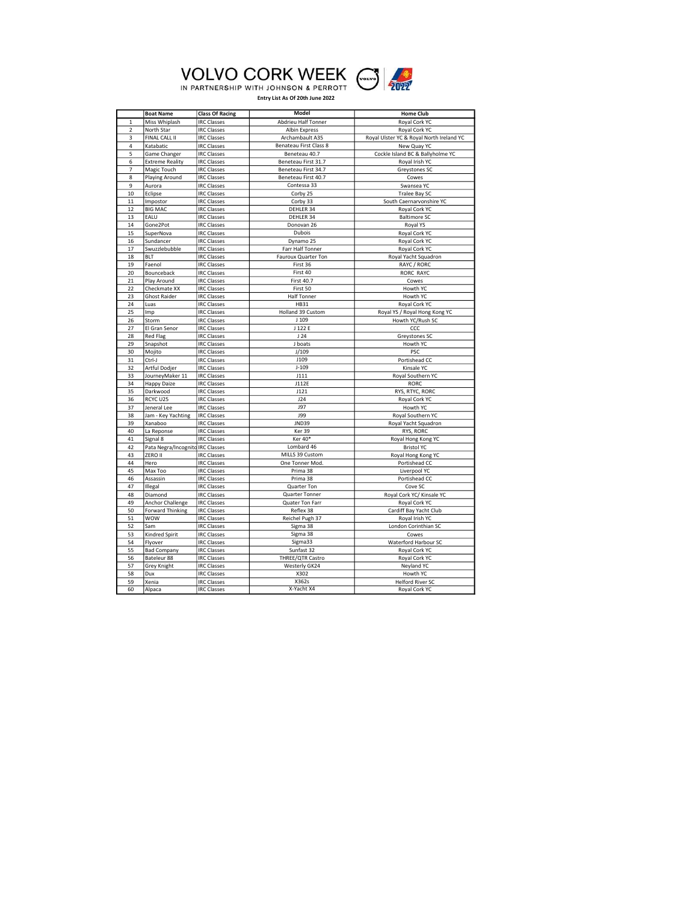

|  | <b>VOLVO CORK WEEK</b>                |  |
|--|---------------------------------------|--|
|  | IN PARTNERSHIP WITH JOHNSON & PERROTT |  |

|                | <b>Boat Name</b>        | <b>Class Of Racing</b>                   | <b>Model</b>           | <b>Home Club</b>                         |
|----------------|-------------------------|------------------------------------------|------------------------|------------------------------------------|
| $\mathbf{1}$   | Miss Whiplash           | <b>IRC Classes</b>                       | Abdrieu Half Tonner    | Royal Cork YC                            |
| $\mathbf 2$    | North Star              | <b>IRC Classes</b>                       | Albin Express          | Royal Cork YC                            |
| 3              | FINAL CALL II           | <b>IRC Classes</b>                       | Archambault A35        | Royal Ulster YC & Royal North Ireland YC |
| $\overline{a}$ | Katabatic               | <b>IRC Classes</b>                       | Benateau First Class 8 | New Quay YC                              |
| 5              | Game Changer            | <b>IRC Classes</b>                       | Beneteau 40.7          | Cockle Island BC & Ballyholme YC         |
| 6              | <b>Extreme Reality</b>  | <b>IRC Classes</b>                       | Beneteau First 31.7    | Royal Irish YC                           |
| $\overline{7}$ | Magic Touch             | <b>IRC Classes</b>                       | Beneteau First 34.7    | Greystones SC                            |
| 8              | Playing Around          | <b>IRC Classes</b>                       | Beneteau First 40.7    | Cowes                                    |
| 9              | Aurora                  | <b>IRC Classes</b>                       | Contessa 33            | Swansea YC                               |
| 10             | Eclipse                 | <b>IRC Classes</b>                       | Corby 25               | Tralee Bay SC                            |
| 11             | Impostor                | <b>IRC Classes</b>                       | Corby 33               | South Caernarvonshire YC                 |
| 12             | <b>BIG MAC</b>          | <b>IRC Classes</b>                       | DEHLER 34              | Royal Cork YC                            |
| 13             | EALU                    | <b>IRC Classes</b>                       | DEHLER 34              | <b>Baltimore SC</b>                      |
| 14             | Gone2Pot                | <b>IRC Classes</b>                       | Donovan <sub>26</sub>  | Royal YS                                 |
| 15             | SuperNova               | <b>IRC Classes</b>                       | Dubois                 | Royal Cork YC                            |
| 16             | Sundancer               | <b>IRC Classes</b>                       | Dynamo 25              | Royal Cork YC                            |
| 17             | Swuzzlebubble           | <b>IRC Classes</b>                       | Farr Half Tonner       | Royal Cork YC                            |
| 18             | <b>BLT</b>              | <b>IRC Classes</b>                       | Fauroux Quarter Ton    | Royal Yacht Squadron                     |
| 19             | Faenol                  | <b>IRC Classes</b>                       | First 36               | RAYC / RORC                              |
| 20             | Bounceback              | <b>IRC Classes</b>                       | First 40               | <b>RORC RAYC</b>                         |
| 21             | Play Around             | <b>IRC Classes</b>                       | <b>First 40.7</b>      | Cowes                                    |
| 22             | Checkmate XX            | <b>IRC Classes</b>                       | First 50               | Howth YC                                 |
| 23             | <b>Ghost Raider</b>     | <b>IRC Classes</b>                       | <b>Half Tonner</b>     | Howth YC                                 |
| 24             | Luas                    | <b>IRC Classes</b>                       | <b>HB31</b>            | Royal Cork YC                            |
| 25             | Imp                     | <b>IRC Classes</b>                       | Holland 39 Custom      | Royal YS / Royal Hong Kong YC            |
| 26             | Storm                   | <b>IRC Classes</b>                       | J <sub>109</sub>       | Howth YC/Rush SC                         |
| 27             | El Gran Senor           | <b>IRC Classes</b>                       | J 122 E                | CCC                                      |
| 28             | Red Flag                | <b>IRC Classes</b>                       | 124                    | Greystones SC                            |
| 29             | Snapshot                | <b>IRC Classes</b>                       | J boats                | Howth YC                                 |
| 30             | Mojito                  | <b>IRC Classes</b>                       | J/109                  | PSC                                      |
| 31             | Ctrl-J                  | <b>IRC Classes</b>                       | J109                   | Portishead CC                            |
| 32             | Artful Dodjer           | <b>IRC Classes</b>                       | $J-109$                | Kinsale YC                               |
| 33             | JourneyMaker 11         | <b>IRC Classes</b>                       | J111                   | Royal Southern YC                        |
| 34<br>35       | <b>Happy Daize</b>      | <b>IRC Classes</b>                       | J112E<br>J121          | <b>RORC</b>                              |
| 36             | Darkwood<br>RCYC U25    | <b>IRC Classes</b><br><b>IRC Classes</b> | J24                    | RYS, RTYC, RORC<br>Royal Cork YC         |
| 37             | Jeneral Lee             | <b>IRC Classes</b>                       | <b>J97</b>             | Howth YC                                 |
| 38             | Jam - Key Yachting      | <b>IRC Classes</b>                       | <b>J99</b>             | Royal Southern YC                        |
| 39             | Xanaboo                 | <b>IRC Classes</b>                       | <b>JND39</b>           | Royal Yacht Squadron                     |
| 40             | La Reponse              | <b>IRC Classes</b>                       | Ker 39                 | RYS, RORC                                |
| 41             | Signal 8                | <b>IRC Classes</b>                       | Ker 40*                | Royal Hong Kong YC                       |
| 42             | Pata Negra/Incognito    | <b>IRC Classes</b>                       | Lombard 46             | <b>Bristol YC</b>                        |
| 43             | ZERO II                 | <b>IRC Classes</b>                       | MILLS 39 Custom        | Royal Hong Kong YC                       |
| 44             | Hero                    | <b>IRC Classes</b>                       | One Tonner Mod.        | Portishead CC                            |
| 45             | Max Too                 | <b>IRC Classes</b>                       | Prima 38               | Liverpool YC                             |
| 46             | Assassin                | <b>IRC Classes</b>                       | Prima 38               | Portishead CC                            |
| 47             | Illegal                 | <b>IRC Classes</b>                       | Quarter Ton            | Cove SC                                  |
| 48             | Diamond                 | <b>IRC Classes</b>                       | Quarter Tonner         | Royal Cork YC/ Kinsale YC                |
| 49             | Anchor Challenge        | <b>IRC Classes</b>                       | Quater Ton Farr        | Royal Cork YC                            |
| 50             | <b>Forward Thinking</b> | <b>IRC Classes</b>                       | Reflex 38              | Cardiff Bay Yacht Club                   |
| 51             | <b>WOW</b>              | <b>IRC Classes</b>                       | Reichel Pugh 37        | Royal Irish YC                           |
| 52             | Sam                     | <b>IRC Classes</b>                       | Sigma 38               | London Corinthian SC                     |
| 53             | Kindred Spirit          | <b>IRC Classes</b>                       | Sigma 38               | Cowes                                    |
| 54             | Flyover                 | <b>IRC Classes</b>                       | Sigma33                | Waterford Harbour SC                     |
| 55             | <b>Bad Company</b>      | <b>IRC Classes</b>                       | Sunfast 32             | Royal Cork YC                            |
| 56             | Bateleur 88             | <b>IRC Classes</b>                       | THREE/QTR Castro       | Royal Cork YC                            |
| 57             | Grey Knight             | <b>IRC Classes</b>                       | Westerly GK24          | Neyland YC                               |
| 58             | Dux                     | <b>IRC Classes</b>                       | X302                   | Howth YC                                 |
| 59             | Xenia                   | <b>IRC Classes</b>                       | X362s                  | <b>Helford River SC</b>                  |
| 60             | Alpaca                  | <b>IRC Classes</b>                       | X-Yacht X4             | Royal Cork YC                            |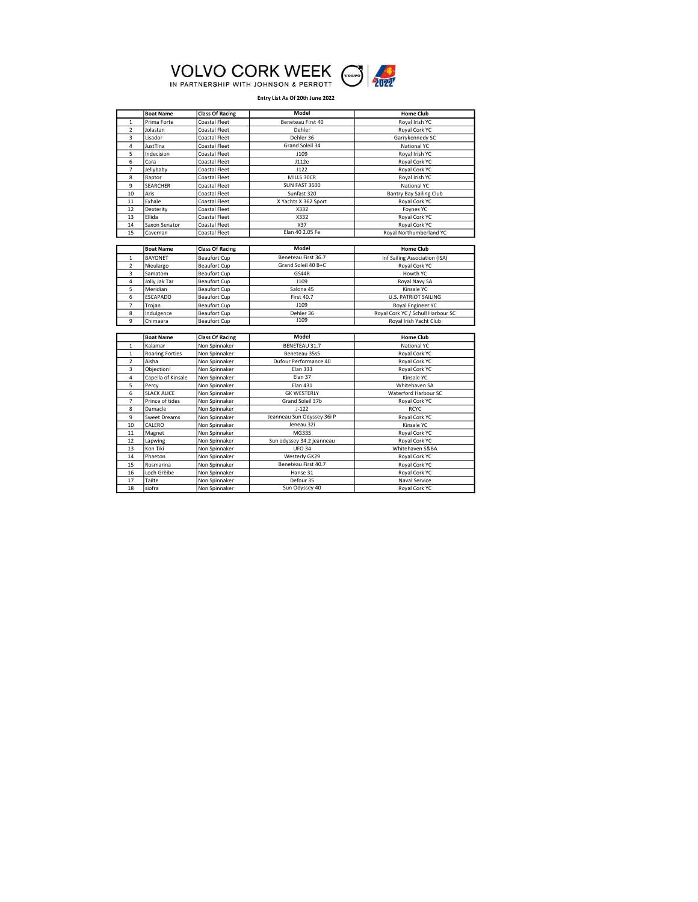

|                | <b>Boat Name</b>       | <b>Class Of Racing</b> | <b>Model</b>               | <b>Home Club</b>                  |
|----------------|------------------------|------------------------|----------------------------|-----------------------------------|
| $\mathbf{1}$   | Prima Forte            | Coastal Fleet          | Beneteau First 40          | Royal Irish YC                    |
| $\overline{2}$ | Jolastan               | Coastal Fleet          | Dehler                     | Royal Cork YC                     |
| 3              | Lisador                | Coastal Fleet          | Dehler 36                  | Garrykennedy SC                   |
| 4              | JustTina               | Coastal Fleet          | Grand Soleil 34            | National YC                       |
| 5              | Indecision             | Coastal Fleet          | J109                       | Royal Irish YC                    |
| 6              | Cara                   | Coastal Fleet          | J112e                      | Royal Cork YC                     |
| $\overline{7}$ | Jellybaby              | Coastal Fleet          | 1122                       | Royal Cork YC                     |
| 8              | Raptor                 | Coastal Fleet          | MILLS 30CR                 | Royal Irish YC                    |
| 9              | <b>SEARCHER</b>        | Coastal Fleet          | SUN FAST 3600              | <b>National YC</b>                |
| 10             | Aris                   | Coastal Fleet          | Sunfast 320                | Bantry Bay Sailing Club           |
| 11             | Exhale                 | Coastal Fleet          | X Yachts X 362 Sport       | Royal Cork YC                     |
| 12             | Dexterity              | Coastal Fleet          | X332                       | Foynes YC                         |
| 13             | Ellida                 | Coastal Fleet          | X332                       | Royal Cork YC                     |
| 14             | Saxon Senator          | Coastal Fleet          | X37                        | Royal Cork YC                     |
| 15             | Caveman                | Coastal Fleet          | Elan 40 2.05 Fe            | Royal Northumberland YC           |
|                |                        |                        |                            |                                   |
|                | <b>Boat Name</b>       | <b>Class Of Racing</b> | Model                      | <b>Home Club</b>                  |
| $\mathbf{1}$   | <b>BAYONET</b>         | <b>Beaufort Cup</b>    | Beneteau First 36.7        | Inf Sailing Association (ISA)     |
| $\overline{2}$ | Nieulargo              | <b>Beaufort Cup</b>    | Grand Soleil 40 B+C        | Royal Cork YC                     |
| 3              | Samatom                | <b>Beaufort Cup</b>    | GS44R                      | Howth YC                          |
| 4              | Jolly Jak Tar          | <b>Beaufort Cup</b>    | J109                       | Royal Navy SA                     |
| 5              | Meridian               | <b>Beaufort Cup</b>    | Salona 45                  | Kinsale YC                        |
| 6              | <b>ESCAPADO</b>        | <b>Beaufort Cup</b>    | <b>First 40.7</b>          | <b>U.S. PATRIOT SAILING</b>       |
| $\overline{7}$ | Trojan                 | <b>Beaufort Cup</b>    | J109                       | Royal Engineer YC                 |
| 8              | Indulgence             | <b>Beaufort Cup</b>    | Dehler 36                  | Royal Cork YC / Schull Harbour SC |
| 9              | Chimaera               | <b>Beaufort Cup</b>    | J109                       | Royal Irish Yacht Club            |
|                |                        |                        |                            |                                   |
|                | <b>Boat Name</b>       | <b>Class Of Racing</b> | Model                      | <b>Home Club</b>                  |
| $\mathbf 1$    | Kalamar                | Non Spinnaker          | BENETEAU 31.7              | National YC                       |
| $\mathbf{1}$   | <b>Roaring Forties</b> | Non Spinnaker          | Beneteau 35s5              | Royal Cork YC                     |
| $\overline{2}$ | Aisha                  | Non Spinnaker          | Dufour Performance 40      | Royal Cork YC                     |
| 3              | Objection!             | Non Spinnaker          | <b>Elan 333</b>            | Royal Cork YC                     |
| 4              | Capella of Kinsale     | Non Spinnaker          | Elan 37                    | Kinsale YC                        |
| 5              | Percy                  | Non Spinnaker          | <b>Elan 431</b>            | Whitehaven SA                     |
| 6              | <b>SLACK ALICE</b>     | Non Spinnaker          | <b>GK WESTERLY</b>         | Waterford Harbour SC              |
| $\overline{7}$ | Prince of tides        | Non Spinnaker          | Grand Soleil 37b           | Royal Cork YC                     |
| 8              | Damacle                | Non Spinnaker          | $J-122$                    | <b>RCYC</b>                       |
| 9              | <b>Sweet Dreams</b>    | Non Spinnaker          | Jeanneau Sun Odyssey 36i P | Royal Cork YC                     |
| 10             | CALERO                 | Non Spinnaker          | Jeneau 32i                 | Kinsale YC                        |
| 11             | Magnet                 | Non Spinnaker          | MG335                      | Royal Cork YC                     |
| 12             | Lapwing                | Non Spinnaker          | Sun odyssey 34.2 jeanneau  | Royal Cork YC                     |
| 13             | Kon Tiki               | Non Spinnaker          | <b>UFO 34</b>              | Whitehaven S&BA                   |
| 14             | Phaeton                | Non Spinnaker          | Westerly GK29              | Royal Cork YC                     |
| 15             | Rosmarina              | Non Spinnaker          | Beneteau First 40.7        | Royal Cork YC                     |
| 16             | Loch Grèibe            | Non Spinnaker          | Hanse 31                   | Royal Cork YC                     |
| 17             | Tailte                 | Non Spinnaker          | Defour 35                  | Naval Service                     |
| 18             | siofra                 | Non Spinnaker          | Sun Odyssey 40             | Royal Cork YC                     |